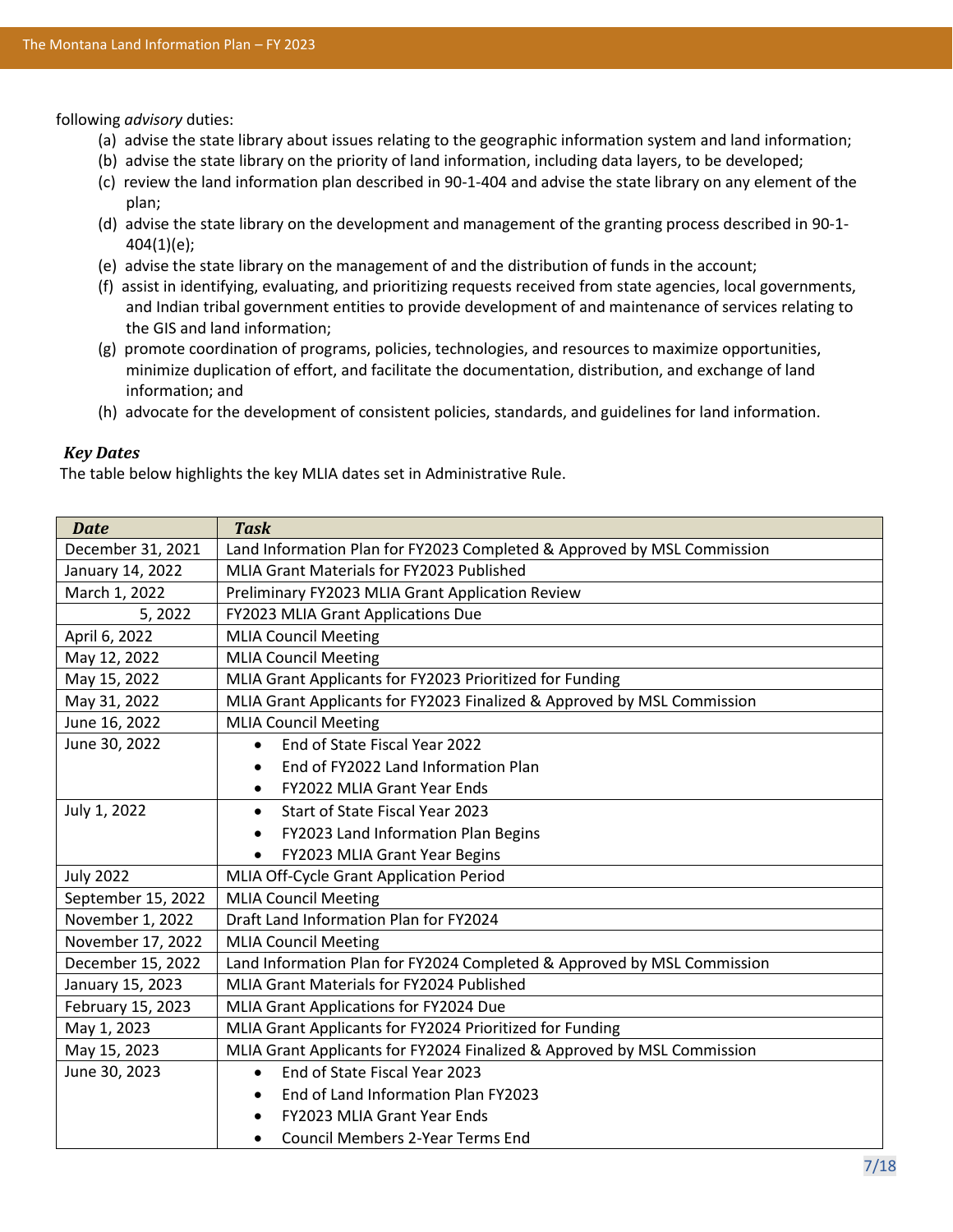following *advisory* duties:

- (a) advise the state library about issues relating to the geographic information system and land information;
- (b) advise the state library on the priority of land information, including data layers, to be developed;
- (c) review the land information plan described i[n 90-1-404](http://leg.mt.gov/bills/mca/title_0900/chapter_0010/part_0040/section_0040/0900-0010-0040-0040.html) and advise the state library on any element of the plan;
- (d) advise the state library on the development and management of the granting process described in 90-1- 404(1)(e);
- (e) advise the state library on the management of and the distribution of funds in the account;
- (f) assist in identifying, evaluating, and prioritizing requests received from state agencies, local governments, and Indian tribal government entities to provide development of and maintenance of services relating to the GIS and land information;
- (g) promote coordination of programs, policies, technologies, and resources to maximize opportunities, minimize duplication of effort, and facilitate the documentation, distribution, and exchange of land information; and
- (h) advocate for the development of consistent policies, standards, and guidelines for land information.

#### *Key Dates*

The table below highlights the key MLIA dates set in Administrative Rule.

| <b>Date</b>        | <b>Task</b>                                                             |
|--------------------|-------------------------------------------------------------------------|
| December 31, 2021  | Land Information Plan for FY2023 Completed & Approved by MSL Commission |
| January 14, 2022   | MLIA Grant Materials for FY2023 Published                               |
| March 1, 2022      | Preliminary FY2023 MLIA Grant Application Review                        |
| February 15, 2022  | <b>FY2023 MLIA Grant Applications Due</b>                               |
| April 6, 2022      | <b>MLIA Council Meeting</b>                                             |
| May 12, 2022       | <b>MLIA Council Meeting</b>                                             |
| May 15, 2022       | MLIA Grant Applicants for FY2023 Prioritized for Funding                |
| May 31, 2022       | MLIA Grant Applicants for FY2023 Finalized & Approved by MSL Commission |
| June 16, 2022      | <b>MLIA Council Meeting</b>                                             |
| June 30, 2022      | End of State Fiscal Year 2022<br>$\bullet$                              |
|                    | End of FY2022 Land Information Plan<br>$\bullet$                        |
|                    | FY2022 MLIA Grant Year Ends<br>$\bullet$                                |
| July 1, 2022       | Start of State Fiscal Year 2023                                         |
|                    | FY2023 Land Information Plan Begins                                     |
|                    | FY2023 MLIA Grant Year Begins<br>٠                                      |
| <b>July 2022</b>   | MLIA Off-Cycle Grant Application Period                                 |
| September 15, 2022 | <b>MLIA Council Meeting</b>                                             |
| November 1, 2022   | Draft Land Information Plan for FY2024                                  |
| November 17, 2022  | <b>MLIA Council Meeting</b>                                             |
| December 15, 2022  | Land Information Plan for FY2024 Completed & Approved by MSL Commission |
| January 15, 2023   | MLIA Grant Materials for FY2024 Published                               |
| February 15, 2023  | MLIA Grant Applications for FY2024 Due                                  |
| May 1, 2023        | MLIA Grant Applicants for FY2024 Prioritized for Funding                |
| May 15, 2023       | MLIA Grant Applicants for FY2024 Finalized & Approved by MSL Commission |
| June 30, 2023      | End of State Fiscal Year 2023<br>$\bullet$                              |
|                    | End of Land Information Plan FY2023<br>$\bullet$                        |
|                    | <b>FY2023 MLIA Grant Year Ends</b>                                      |
|                    | <b>Council Members 2-Year Terms End</b><br>$\bullet$                    |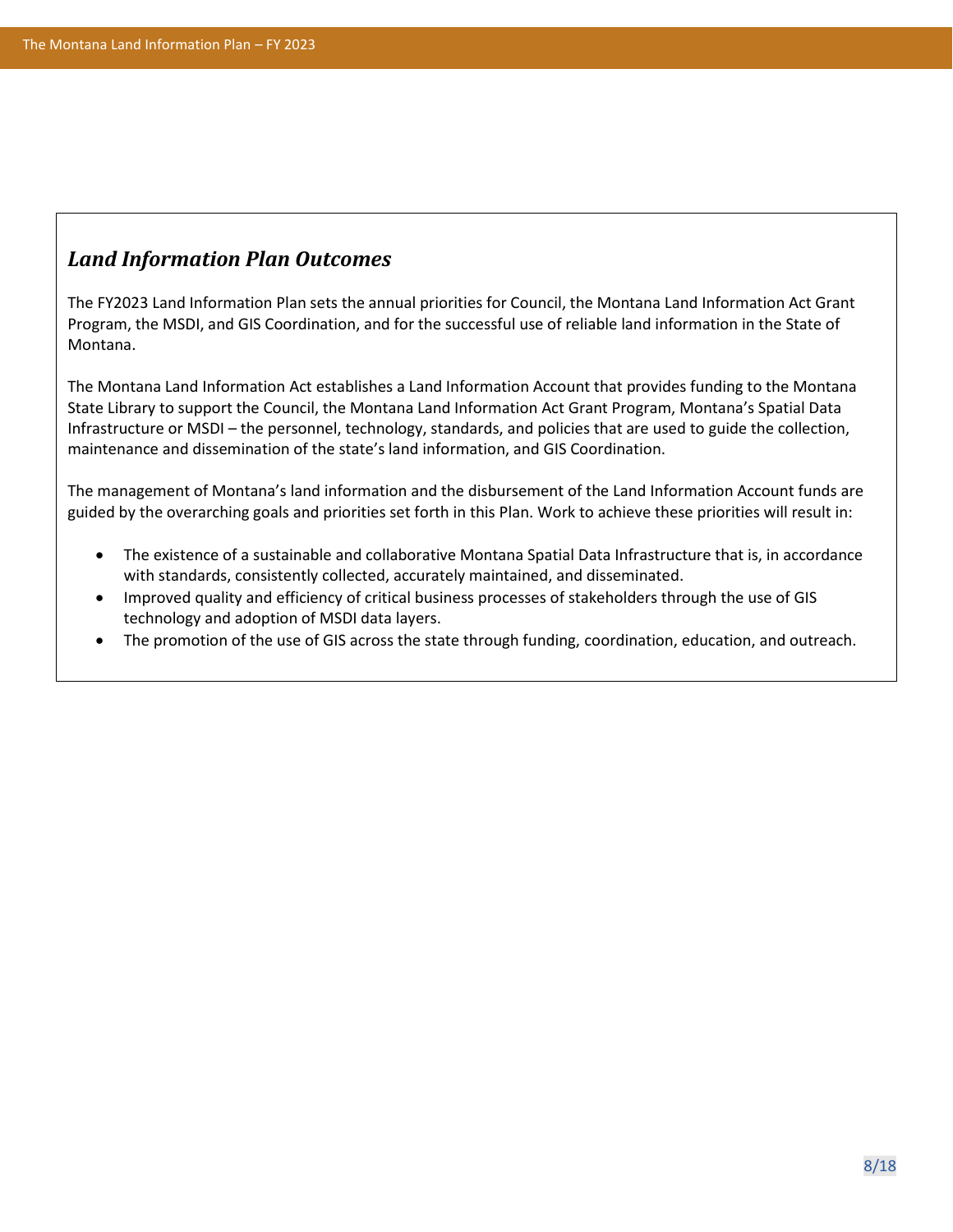## *Land Information Plan Outcomes*

The FY2023 Land Information Plan sets the annual priorities for Council, the Montana Land Information Act Grant Program, the MSDI, and GIS Coordination, and for the successful use of reliable land information in the State of Montana.

The Montana Land Information Act establishes a Land Information Account that provides funding to the Montana State Library to support the Council, the Montana Land Information Act Grant Program, Montana's Spatial Data Infrastructure or MSDI – the personnel, technology, standards, and policies that are used to guide the collection, maintenance and dissemination of the state's land information, and GIS Coordination.

The management of Montana's land information and the disbursement of the Land Information Account funds are guided by the overarching goals and priorities set forth in this Plan. Work to achieve these priorities will result in:

- The existence of a sustainable and collaborative Montana Spatial Data Infrastructure that is, in accordance with standards, consistently collected, accurately maintained, and disseminated.
- Improved quality and efficiency of critical business processes of stakeholders through the use of GIS technology and adoption of MSDI data layers.
- The promotion of the use of GIS across the state through funding, coordination, education, and outreach.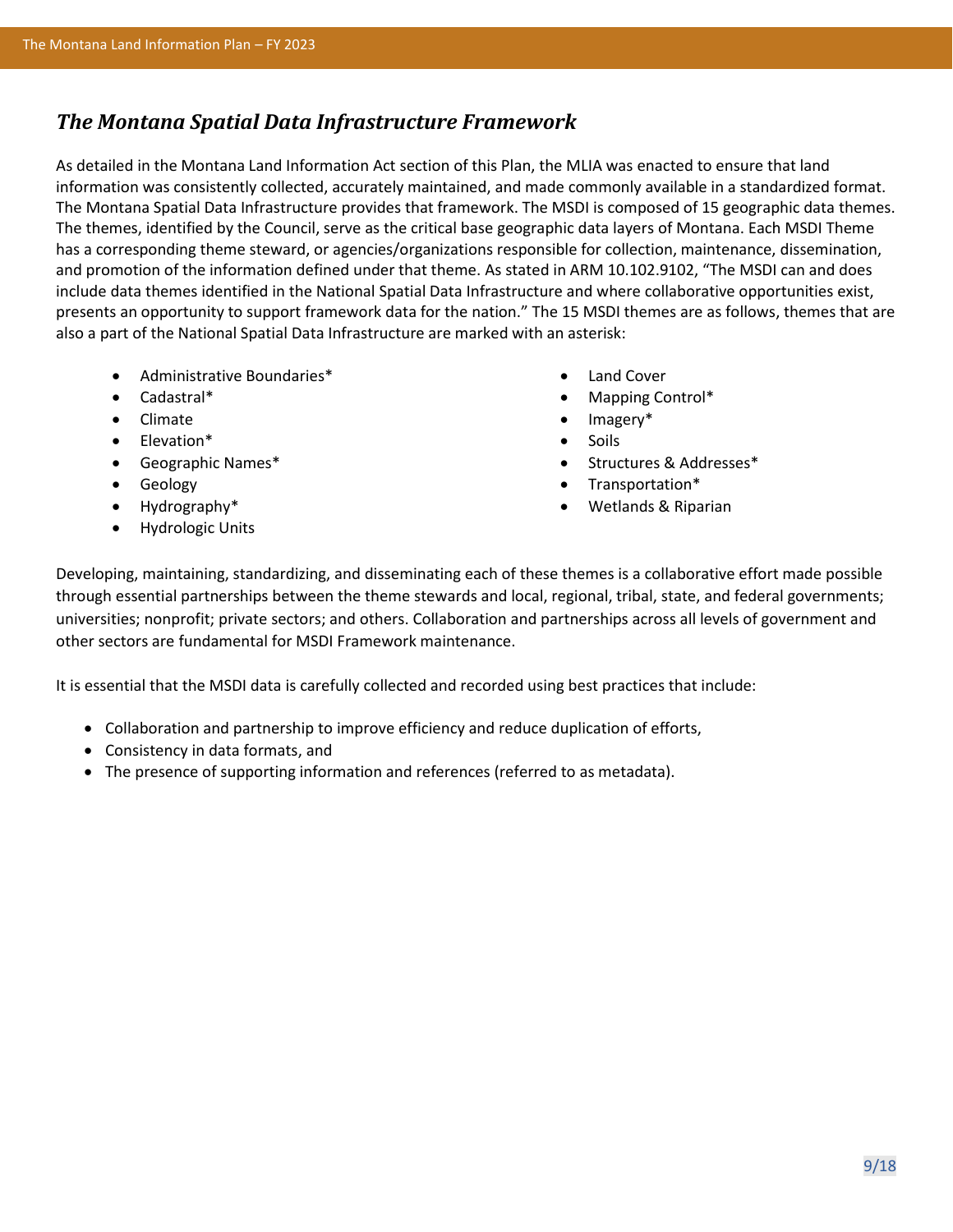## *The Montana Spatial Data Infrastructure Framework*

As detailed in the Montana Land Information Act section of this Plan, the MLIA was enacted to ensure that land information was consistently collected, accurately maintained, and made commonly available in a standardized format. The Montana Spatial Data Infrastructure provides that framework. The MSDI is composed of 15 geographic data themes. The themes, identified by the Council, serve as the critical base geographic data layers of Montana. Each MSDI Theme has a corresponding theme steward, or agencies/organizations responsible for collection, maintenance, dissemination, and promotion of the information defined under that theme. As stated in ARM 10.102.9102, "The MSDI can and does include data themes identified in the National Spatial Data Infrastructure and where collaborative opportunities exist, presents an opportunity to support framework data for the nation." The 15 MSDI themes are as follows, themes that are also a part of the National Spatial Data Infrastructure are marked with an asterisk:

- Administrative Boundaries\*
- Cadastral\*
- Climate
- Elevation\*
- Geographic Names\*
- Geology
- Hydrography\*
- Hydrologic Units
- Land Cover
- Mapping Control\*
- Imagery\*
- Soils
- Structures & Addresses\*
- Transportation\*
- Wetlands & Riparian

Developing, maintaining, standardizing, and disseminating each of these themes is a collaborative effort made possible through essential partnerships between the theme stewards and local, regional, tribal, state, and federal governments; universities; nonprofit; private sectors; and others. Collaboration and partnerships across all levels of government and other sectors are fundamental for MSDI Framework maintenance.

It is essential that the MSDI data is carefully collected and recorded using best practices that include:

- Collaboration and partnership to improve efficiency and reduce duplication of efforts,
- Consistency in data formats, and
- The presence of supporting information and references (referred to as metadata).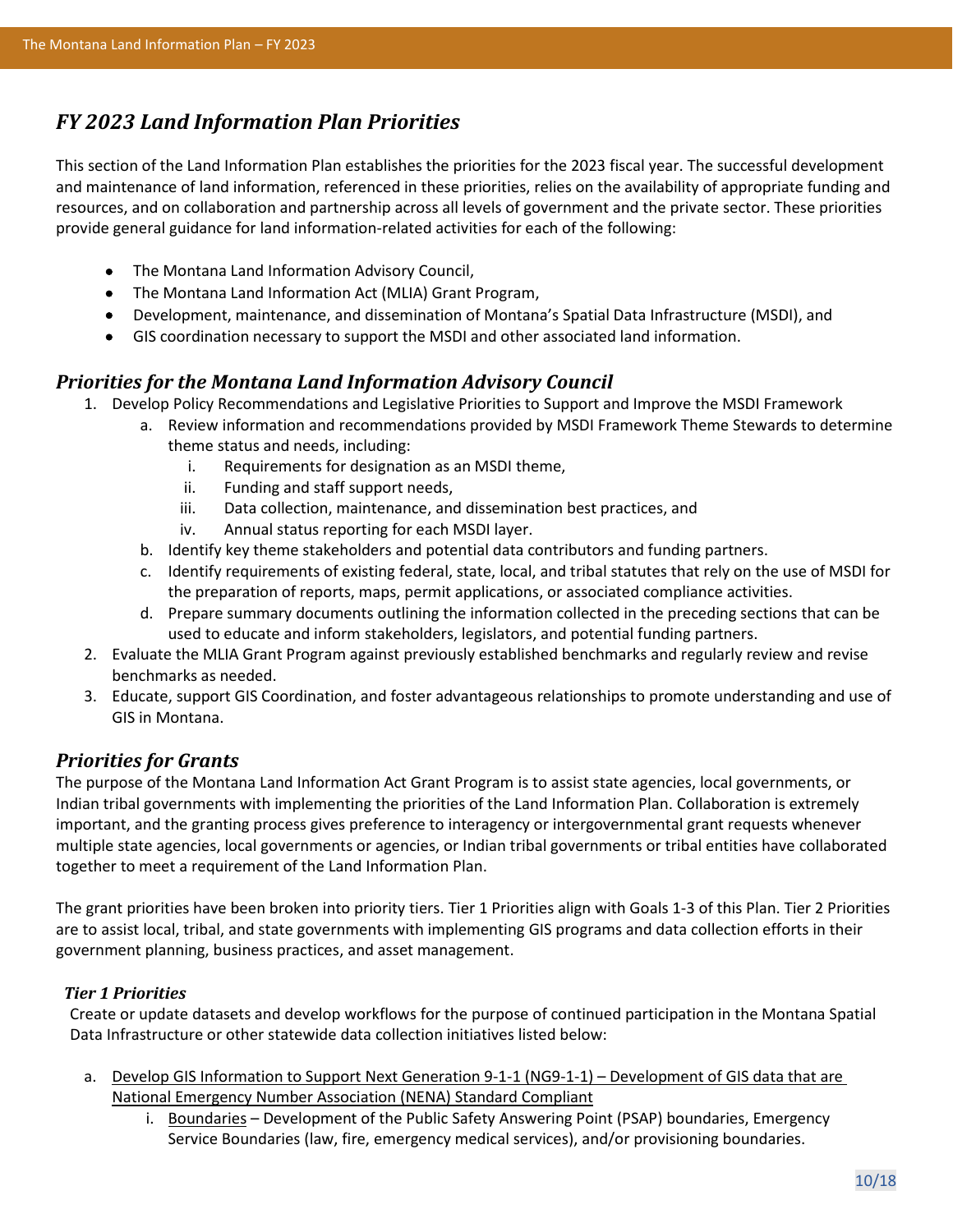## *FY 2023 Land Information Plan Priorities*

This section of the Land Information Plan establishes the priorities for the 2023 fiscal year. The successful development and maintenance of land information, referenced in these priorities, relies on the availability of appropriate funding and resources, and on collaboration and partnership across all levels of government and the private sector. These priorities provide general guidance for land information-related activities for each of the following:

- The Montana Land Information Advisory Council,
- The Montana Land Information Act (MLIA) Grant Program,
- Development, maintenance, and dissemination of Montana's Spatial Data Infrastructure (MSDI), and
- GIS coordination necessary to support the MSDI and other associated land information.

### *Priorities for the Montana Land Information Advisory Council*

- 1. Develop Policy Recommendations and Legislative Priorities to Support and Improve the MSDI Framework
	- a. Review information and recommendations provided by MSDI Framework Theme Stewards to determine theme status and needs, including:
		- i. Requirements for designation as an MSDI theme,
		- ii. Funding and staff support needs,
		- iii. Data collection, maintenance, and dissemination best practices, and
		- iv. Annual status reporting for each MSDI layer.
	- b. Identify key theme stakeholders and potential data contributors and funding partners.
	- c. Identify requirements of existing federal, state, local, and tribal statutes that rely on the use of MSDI for the preparation of reports, maps, permit applications, or associated compliance activities.
	- d. Prepare summary documents outlining the information collected in the preceding sections that can be used to educate and inform stakeholders, legislators, and potential funding partners.
- 2. Evaluate the MLIA Grant Program against previously established benchmarks and regularly review and revise benchmarks as needed.
- 3. Educate, support GIS Coordination, and foster advantageous relationships to promote understanding and use of GIS in Montana.

## *Priorities for Grants*

The purpose of the Montana Land Information Act Grant Program is to assist state agencies, local governments, or Indian tribal governments with implementing the priorities of the Land Information Plan. Collaboration is extremely important, and the granting process gives preference to interagency or intergovernmental grant requests whenever multiple state agencies, local governments or agencies, or Indian tribal governments or tribal entities have collaborated together to meet a requirement of the Land Information Plan.

The grant priorities have been broken into priority tiers. Tier 1 Priorities align with Goals 1-3 of this Plan. Tier 2 Priorities are to assist local, tribal, and state governments with implementing GIS programs and data collection efforts in their government planning, business practices, and asset management.

### *Tier 1 Priorities*

Create or update datasets and develop workflows for the purpose of continued participation in the Montana Spatial Data Infrastructure or other statewide data collection initiatives listed below:

- a. Develop GIS Information to Support Next Generation 9-1-1 (NG9-1-1) Development of GIS data that are National Emergency Number Association (NENA) Standard Compliant
	- i. Boundaries Development of the Public Safety Answering Point (PSAP) boundaries, Emergency Service Boundaries (law, fire, emergency medical services), and/or provisioning boundaries.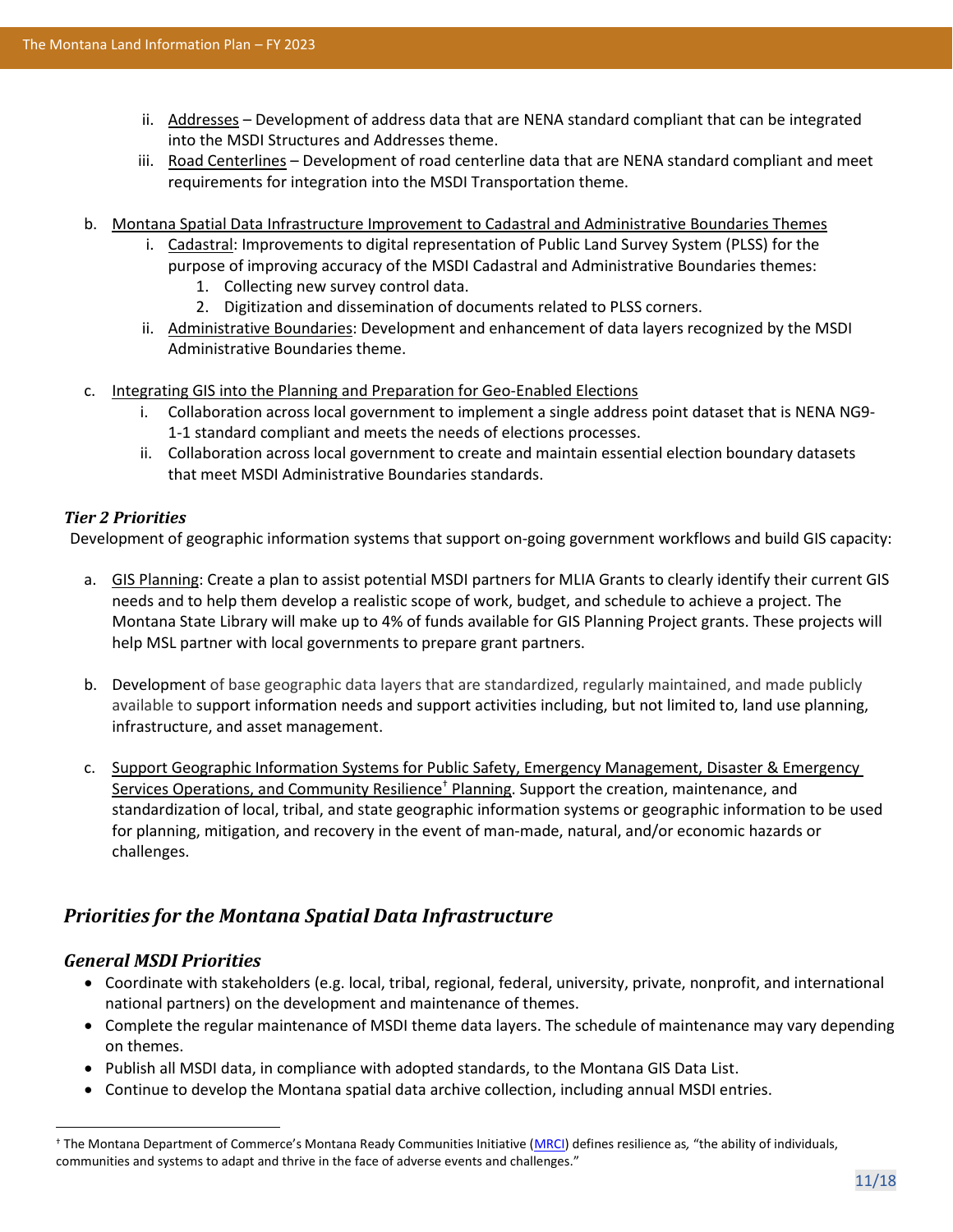- ii. Addresses Development of address data that are NENA standard compliant that can be integrated into the MSDI Structures and Addresses theme.
- iii. Road Centerlines Development of road centerline data that are NENA standard compliant and meet requirements for integration into the MSDI Transportation theme.
- b. Montana Spatial Data Infrastructure Improvement to Cadastral and Administrative Boundaries Themes
	- i. Cadastral: Improvements to digital representation of Public Land Survey System (PLSS) for the purpose of improving accuracy of the MSDI Cadastral and Administrative Boundaries themes:
		- 1. Collecting new survey control data.
		- 2. Digitization and dissemination of documents related to PLSS corners.
	- ii. Administrative Boundaries: Development and enhancement of data layers recognized by the MSDI Administrative Boundaries theme.
- c. Integrating GIS into the Planning and Preparation for Geo-Enabled Elections
	- i. Collaboration across local government to implement a single address point dataset that is NENA NG9- 1-1 standard compliant and meets the needs of elections processes.
	- ii. Collaboration across local government to create and maintain essential election boundary datasets that meet MSDI Administrative Boundaries standards.

### *Tier 2 Priorities*

Development of geographic information systems that support on-going government workflows and build GIS capacity:

- a. GIS Planning: Create a plan to assist potential MSDI partners for MLIA Grants to clearly identify their current GIS needs and to help them develop a realistic scope of work, budget, and schedule to achieve a project. The Montana State Library will make up to 4% of funds available for GIS Planning Project grants. These projects will help MSL partner with local governments to prepare grant partners.
- b. Development of base geographic data layers that are standardized, regularly maintained, and made publicly available to support information needs and support activities including, but not limited to, land use planning, infrastructure, and asset management.
- c. Support Geographic Information Systems for Public Safety, Emergency Management, Disaster & Emergency Services Operations, and Community Resilience<sup>†</sup> Planning. Support the creation, maintenance, and standardization of local, tribal, and state geographic information systems or geographic information to be used for planning, mitigation, and recovery in the event of man-made, natural, and/or economic hazards or challenges.

## *Priorities for the Montana Spatial Data Infrastructure*

### *General MSDI Priorities*

- Coordinate with stakeholders (e.g. local, tribal, regional, federal, university, private, nonprofit, and international national partners) on the development and maintenance of themes.
- Complete the regular maintenance of MSDI theme data layers. The schedule of maintenance may vary depending on themes.
- Publish all MSDI data, in compliance with adopted standards, to the Montana GIS Data List.
- Continue to develop the Montana spatial data archive collection, including annual MSDI entries.

<sup>†</sup> The Montana Department of Commerce's Montana Ready Communities Initiative ([MRCI\)](https://comdev.mt.gov/Programs/MontanaReadyCommunities) defines resilience as*,* "the ability of individuals, communities and systems to adapt and thrive in the face of adverse events and challenges."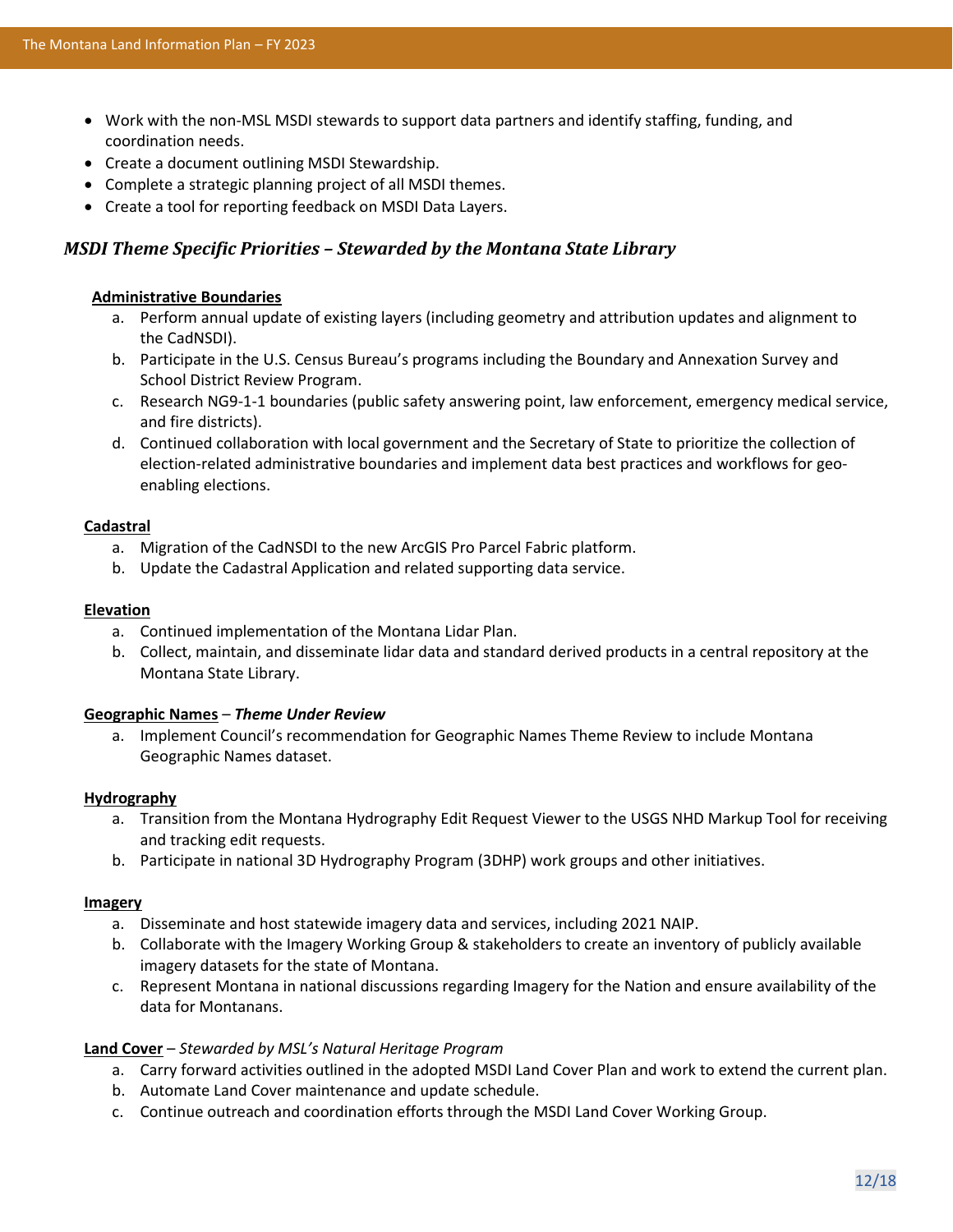- Work with the non-MSL MSDI stewards to support data partners and identify staffing, funding, and coordination needs.
- Create a document outlining MSDI Stewardship.
- Complete a strategic planning project of all MSDI themes.
- Create a tool for reporting feedback on MSDI Data Layers.

### *MSDI Theme Specific Priorities – Stewarded by the Montana State Library*

#### **Administrative Boundaries**

- a. Perform annual update of existing layers (including geometry and attribution updates and alignment to the CadNSDI).
- b. Participate in the U.S. Census Bureau's programs including the Boundary and Annexation Survey and School District Review Program.
- c. Research NG9-1-1 boundaries (public safety answering point, law enforcement, emergency medical service, and fire districts).
- d. Continued collaboration with local government and the Secretary of State to prioritize the collection of election-related administrative boundaries and implement data best practices and workflows for geoenabling elections.

#### **Cadastral**

- a. Migration of the CadNSDI to the new ArcGIS Pro Parcel Fabric platform.
- b. Update the Cadastral Application and related supporting data service.

#### **Elevation**

- a. Continued implementation of the Montana Lidar Plan.
- b. Collect, maintain, and disseminate lidar data and standard derived products in a central repository at the Montana State Library.

#### **Geographic Names** – *Theme Under Review*

a. Implement Council's recommendation for Geographic Names Theme Review to include Montana Geographic Names dataset.

#### **Hydrography**

- a. Transition from the Montana Hydrography Edit Request Viewer to the USGS NHD Markup Tool for receiving and tracking edit requests.
- b. Participate in national 3D Hydrography Program (3DHP) work groups and other initiatives.

#### **Imagery**

- a. Disseminate and host statewide imagery data and services, including 2021 NAIP.
- b. Collaborate with the Imagery Working Group & stakeholders to create an inventory of publicly available imagery datasets for the state of Montana.
- c. Represent Montana in national discussions regarding Imagery for the Nation and ensure availability of the data for Montanans.

#### **Land Cover** – *Stewarded by MSL's Natural Heritage Program*

- a. Carry forward activities outlined in the adopted MSDI Land Cover Plan and work to extend the current plan.
- b. Automate Land Cover maintenance and update schedule.
- c. Continue outreach and coordination efforts through the MSDI Land Cover Working Group.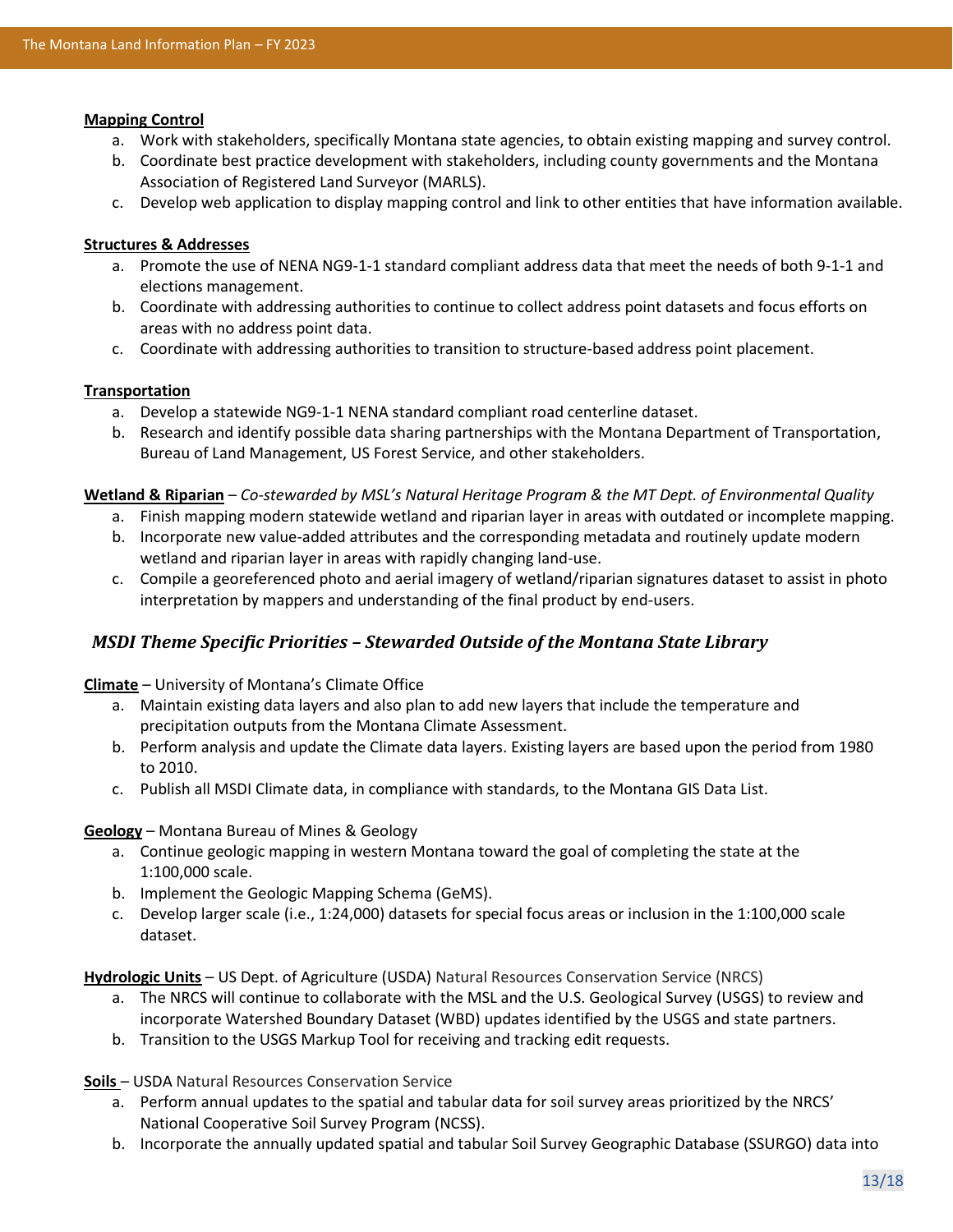#### **Mapping Control**

- a. Work with stakeholders, specifically Montana state agencies, to obtain existing mapping and survey control.
- b. Coordinate best practice development with stakeholders, including county governments and the Montana Association of Registered Land Surveyor (MARLS).
- c. Develop web application to display mapping control and link to other entities that have information available.

#### **Structures & Addresses**

- a. Promote the use of NENA NG9-1-1 standard compliant address data that meet the needs of both 9-1-1 and elections management.
- b. Coordinate with addressing authorities to continue to collect address point datasets and focus efforts on areas with no address point data.
- c. Coordinate with addressing authorities to transition to structure-based address point placement.

#### **Transportation**

- a. Develop a statewide NG9-1-1 NENA standard compliant road centerline dataset.
- b. Research and identify possible data sharing partnerships with the Montana Department of Transportation, Bureau of Land Management, US Forest Service, and other stakeholders.

#### **Wetland & Riparian** – *Co-stewarded by MSL's Natural Heritage Program & the MT Dept. of Environmental Quality*

- a. Finish mapping modern statewide wetland and riparian layer in areas with outdated or incomplete mapping.
- b. Incorporate new value-added attributes and the corresponding metadata and routinely update modern wetland and riparian layer in areas with rapidly changing land-use.
- c. Compile a georeferenced photo and aerial imagery of wetland/riparian signatures dataset to assist in photo interpretation by mappers and understanding of the final product by end-users.

### *MSDI Theme Specific Priorities – Stewarded Outside of the Montana State Library*

**Climate** – University of Montana's Climate Office

- a. Maintain existing data layers and also plan to add new layers that include the temperature and precipitation outputs from the Montana Climate Assessment.
- b. Perform analysis and update the Climate data layers. Existing layers are based upon the period from 1980 to 2010.
- c. Publish all MSDI Climate data, in compliance with standards, to the Montana GIS Data List.

#### **Geology** – Montana Bureau of Mines & Geology

- a. Continue geologic mapping in western Montana toward the goal of completing the state at the 1:100,000 scale.
- b. Implement the Geologic Mapping Schema (GeMS).
- c. Develop larger scale (i.e., 1:24,000) datasets for special focus areas or inclusion in the 1:100,000 scale dataset.

**Hydrologic Units** – US Dept. of Agriculture (USDA) Natural Resources Conservation Service (NRCS)

- a. The NRCS will continue to collaborate with the MSL and the U.S. Geological Survey (USGS) to review and incorporate Watershed Boundary Dataset (WBD) updates identified by the USGS and state partners.
- b. Transition to the USGS Markup Tool for receiving and tracking edit requests.

**Soils** – USDA Natural Resources Conservation Service

- a. Perform annual updates to the spatial and tabular data for soil survey areas prioritized by the NRCS' National Cooperative Soil Survey Program (NCSS).
- b. Incorporate the annually updated spatial and tabular Soil Survey Geographic Database (SSURGO) data into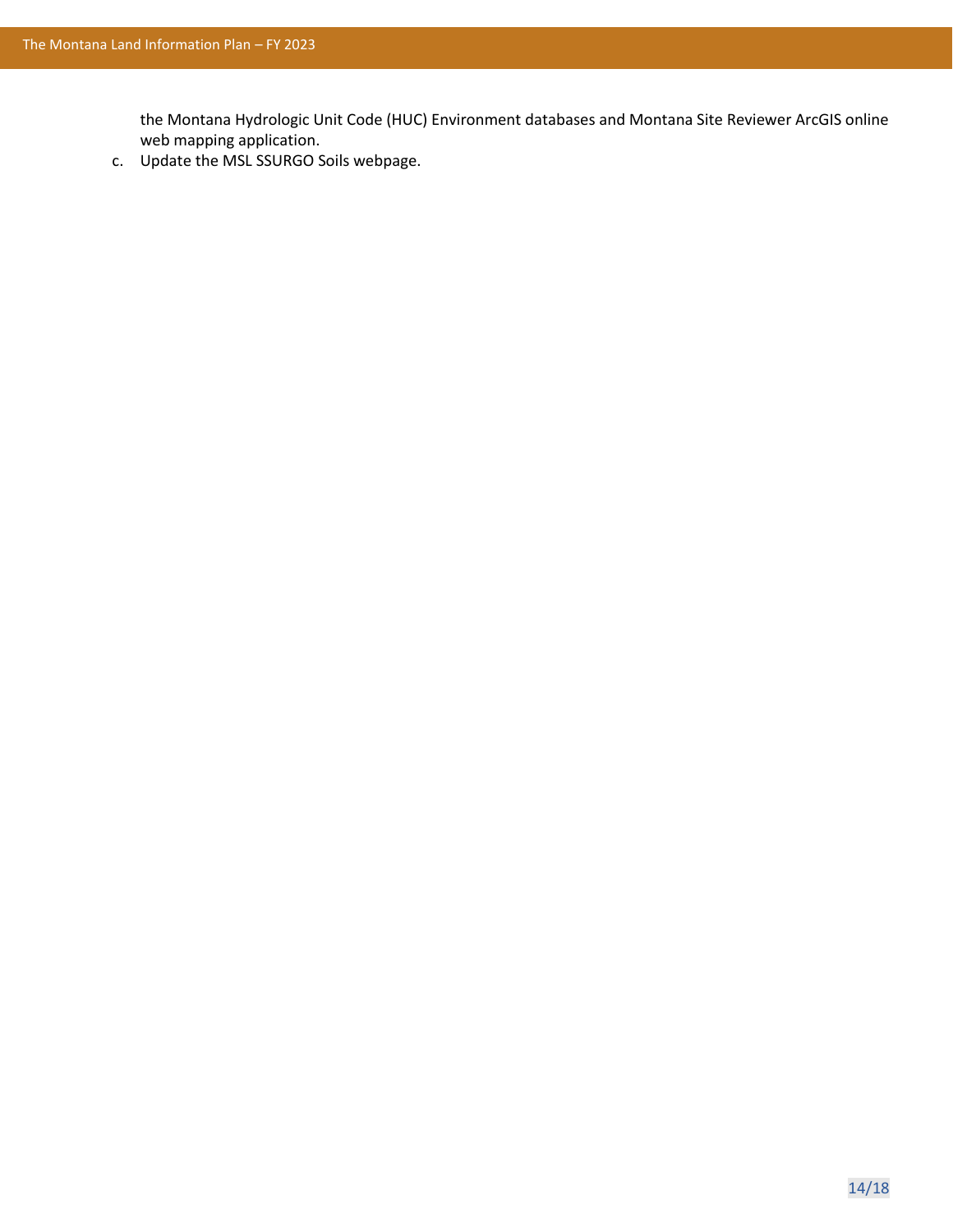the Montana Hydrologic Unit Code (HUC) Environment databases and Montana Site Reviewer ArcGIS online web mapping application.

c. Update the MSL SSURGO Soils webpage.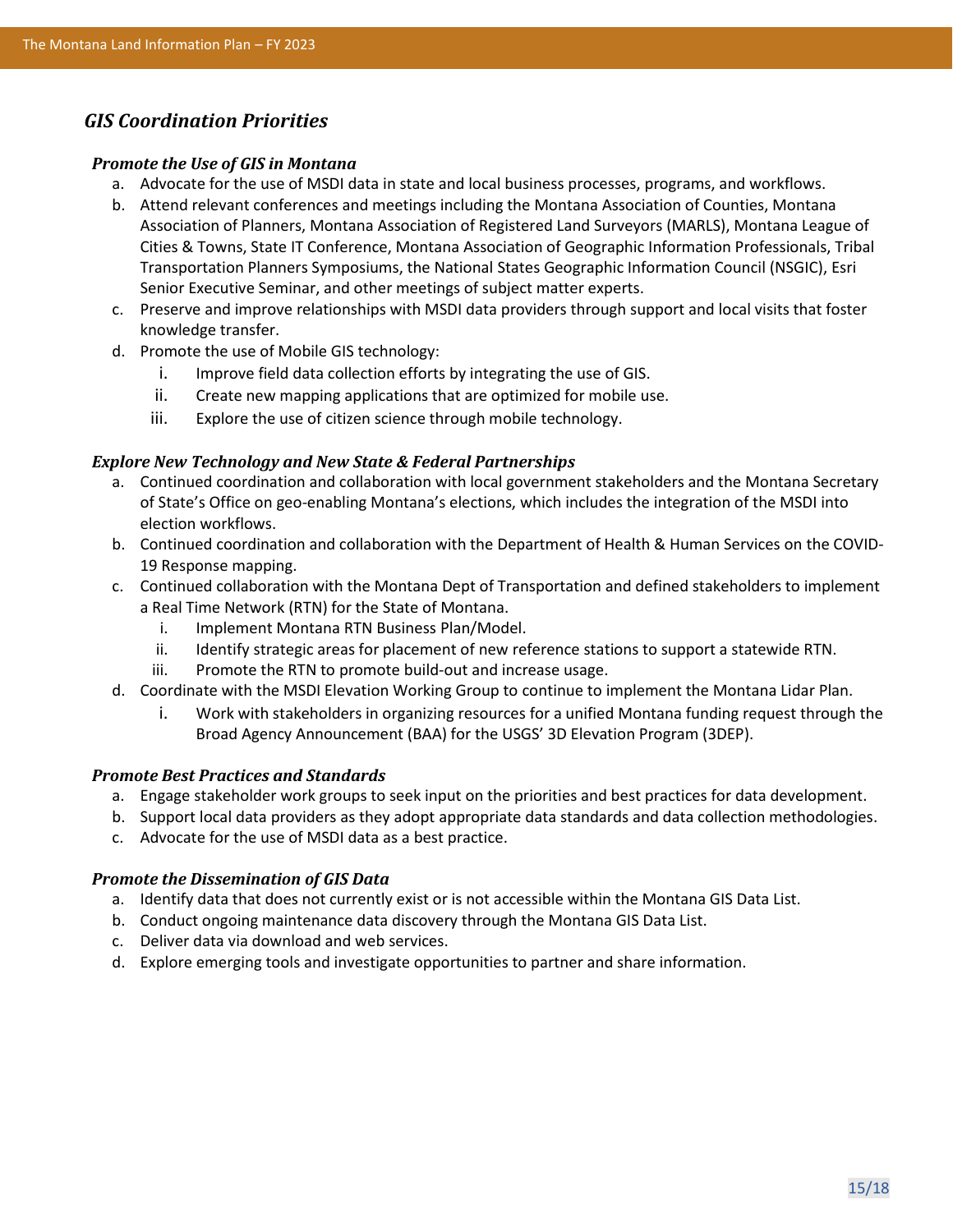### *GIS Coordination Priorities*

#### *Promote the Use of GIS in Montana*

- a. Advocate for the use of MSDI data in state and local business processes, programs, and workflows.
- b. Attend relevant conferences and meetings including the Montana Association of Counties, Montana Association of Planners, Montana Association of Registered Land Surveyors (MARLS), Montana League of Cities & Towns, State IT Conference, Montana Association of Geographic Information Professionals, Tribal Transportation Planners Symposiums, the National States Geographic Information Council (NSGIC), Esri Senior Executive Seminar, and other meetings of subject matter experts.
- c. Preserve and improve relationships with MSDI data providers through support and local visits that foster knowledge transfer.
- d. Promote the use of Mobile GIS technology:
	- i. Improve field data collection efforts by integrating the use of GIS.
	- ii. Create new mapping applications that are optimized for mobile use.
	- iii. Explore the use of citizen science through mobile technology.

#### *Explore New Technology and New State & Federal Partnerships*

- a. Continued coordination and collaboration with local government stakeholders and the Montana Secretary of State's Office on geo-enabling Montana's elections, which includes the integration of the MSDI into election workflows.
- b. Continued coordination and collaboration with the Department of Health & Human Services on the COVID-19 Response mapping.
- c. Continued collaboration with the Montana Dept of Transportation and defined stakeholders to implement a Real Time Network (RTN) for the State of Montana.
	- i. Implement Montana RTN Business Plan/Model.
	- ii. Identify strategic areas for placement of new reference stations to support a statewide RTN.
	- iii. Promote the RTN to promote build-out and increase usage.
- d. Coordinate with the MSDI Elevation Working Group to continue to implement the Montana Lidar Plan.
	- i. Work with stakeholders in organizing resources for a unified Montana funding request through the Broad Agency Announcement (BAA) for the USGS' 3D Elevation Program (3DEP).

#### *Promote Best Practices and Standards*

- a. Engage stakeholder work groups to seek input on the priorities and best practices for data development.
- b. Support local data providers as they adopt appropriate data standards and data collection methodologies.
- c. Advocate for the use of MSDI data as a best practice.

#### *Promote the Dissemination of GIS Data*

- a. Identify data that does not currently exist or is not accessible within the Montana GIS Data List.
- b. Conduct ongoing maintenance data discovery through the Montana GIS Data List.
- c. Deliver data via download and web services.
- d. Explore emerging tools and investigate opportunities to partner and share information.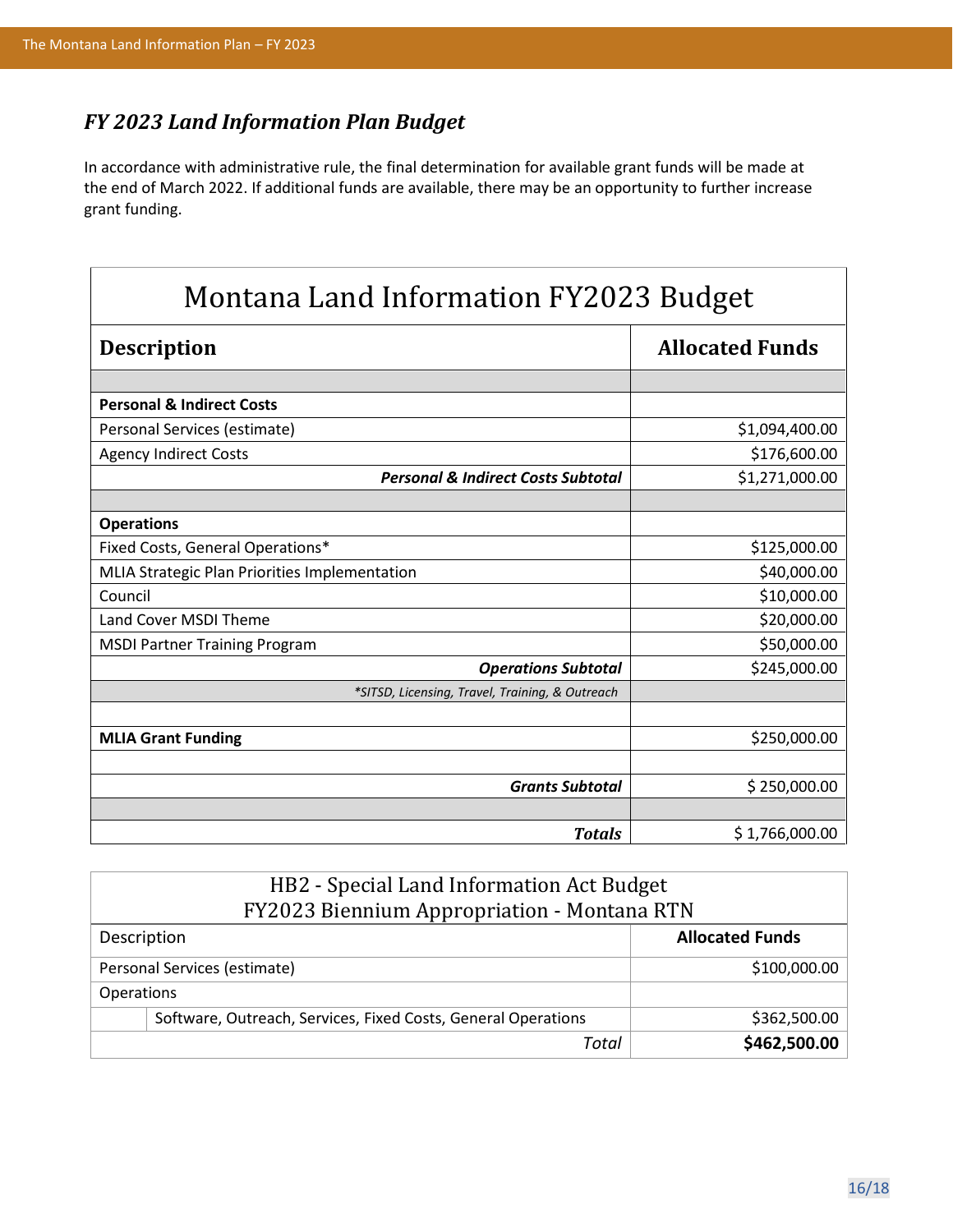## *FY 2023 Land Information Plan Budget*

In accordance with administrative rule, the final determination for available grant funds will be made at the end of March 2022. If additional funds are available, there may be an opportunity to further increase grant funding.

| Montana Land Information FY2023 Budget          |                        |  |
|-------------------------------------------------|------------------------|--|
| <b>Description</b>                              | <b>Allocated Funds</b> |  |
|                                                 |                        |  |
| <b>Personal &amp; Indirect Costs</b>            |                        |  |
| Personal Services (estimate)                    | \$1,094,400.00         |  |
| <b>Agency Indirect Costs</b>                    | \$176,600.00           |  |
| <b>Personal &amp; Indirect Costs Subtotal</b>   | \$1,271,000.00         |  |
|                                                 |                        |  |
| <b>Operations</b>                               |                        |  |
| Fixed Costs, General Operations*                | \$125,000.00           |  |
| MLIA Strategic Plan Priorities Implementation   | \$40,000.00            |  |
| Council                                         | \$10,000.00            |  |
| Land Cover MSDI Theme                           | \$20,000.00            |  |
| <b>MSDI Partner Training Program</b>            | \$50,000.00            |  |
| <b>Operations Subtotal</b>                      | \$245,000.00           |  |
| *SITSD, Licensing, Travel, Training, & Outreach |                        |  |
|                                                 |                        |  |
| <b>MLIA Grant Funding</b>                       | \$250,000.00           |  |
|                                                 |                        |  |
| <b>Grants Subtotal</b>                          | \$250,000.00           |  |
|                                                 |                        |  |
| <b>Totals</b>                                   | \$1,766,000.00         |  |

| HB2 - Special Land Information Act Budget<br>FY2023 Biennium Appropriation - Montana RTN |                                                               |                        |  |
|------------------------------------------------------------------------------------------|---------------------------------------------------------------|------------------------|--|
| Description                                                                              |                                                               | <b>Allocated Funds</b> |  |
| Personal Services (estimate)                                                             |                                                               | \$100,000.00           |  |
| Operations                                                                               |                                                               |                        |  |
|                                                                                          | Software, Outreach, Services, Fixed Costs, General Operations | \$362,500.00           |  |
|                                                                                          | Total                                                         | \$462,500.00           |  |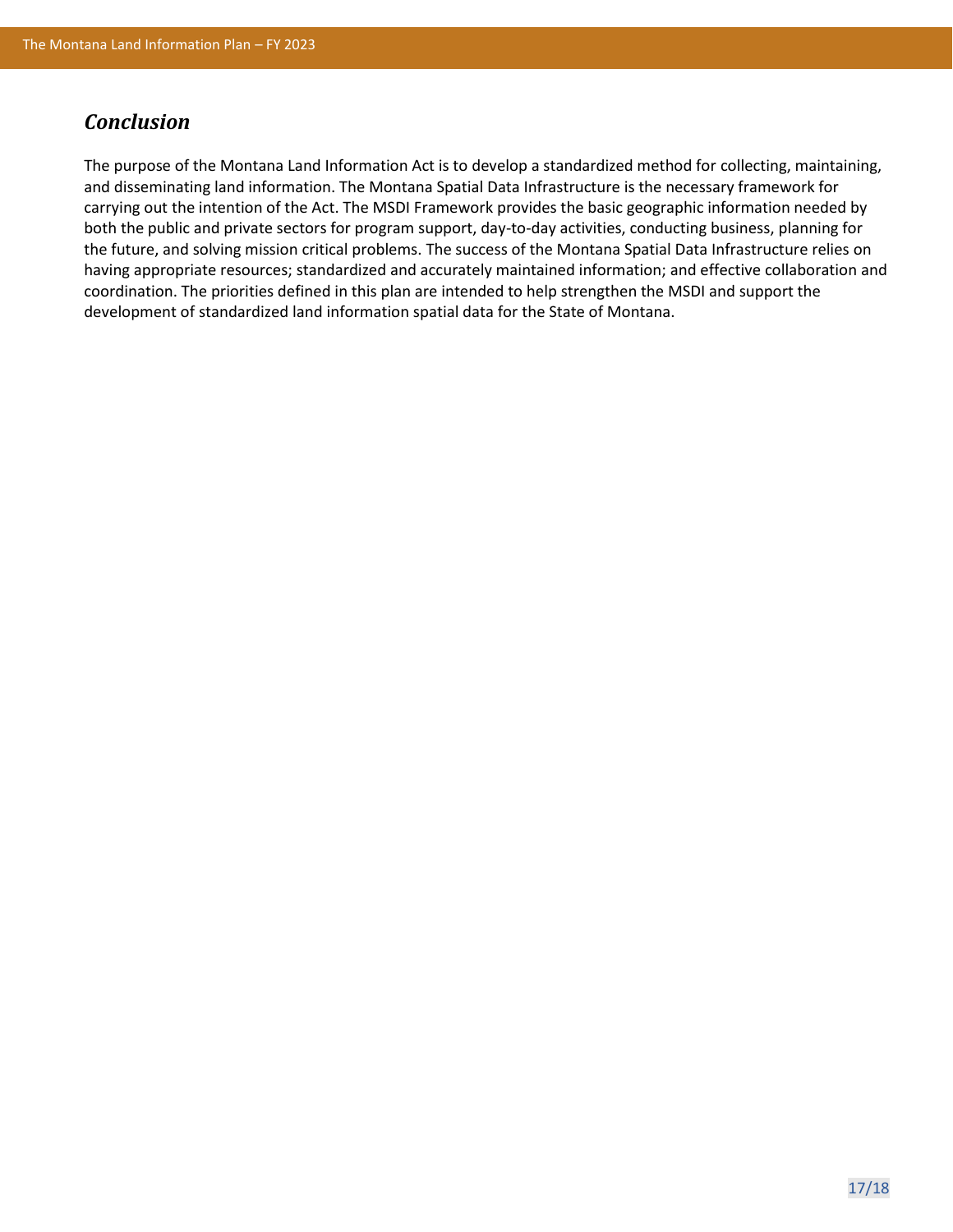## *Conclusion*

The purpose of the Montana Land Information Act is to develop a standardized method for collecting, maintaining, and disseminating land information. The Montana Spatial Data Infrastructure is the necessary framework for carrying out the intention of the Act. The MSDI Framework provides the basic geographic information needed by both the public and private sectors for program support, day-to-day activities, conducting business, planning for the future, and solving mission critical problems. The success of the Montana Spatial Data Infrastructure relies on having appropriate resources; standardized and accurately maintained information; and effective collaboration and coordination. The priorities defined in this plan are intended to help strengthen the MSDI and support the development of standardized land information spatial data for the State of Montana.